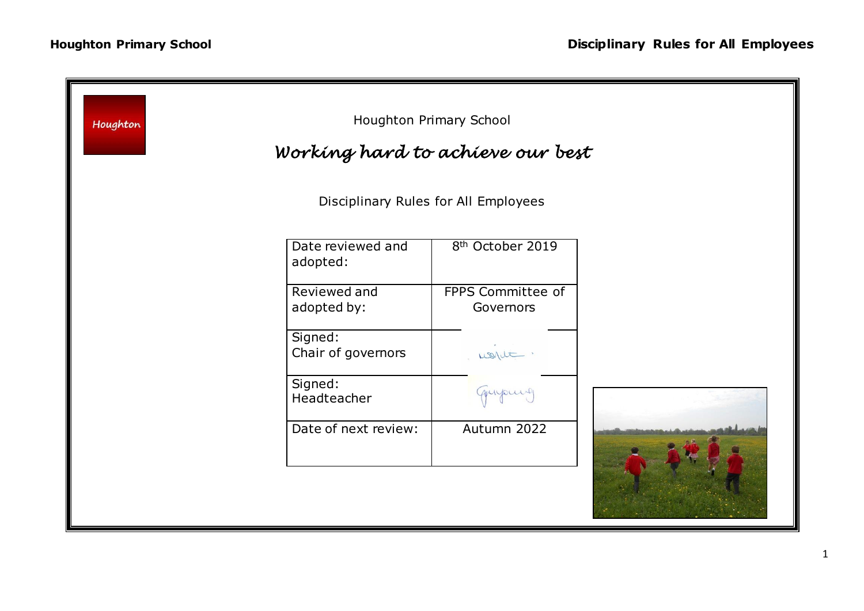| Houghton Primary School<br>Houghton<br>Working hard to achieve our best |                               |                                |  |
|-------------------------------------------------------------------------|-------------------------------|--------------------------------|--|
| Disciplinary Rules for All Employees                                    |                               |                                |  |
|                                                                         | Date reviewed and<br>adopted: | 8 <sup>th</sup> October 2019   |  |
|                                                                         | Reviewed and<br>adopted by:   | FPPS Committee of<br>Governors |  |
|                                                                         | Signed:<br>Chair of governors | wont.                          |  |
|                                                                         | Signed:<br>Headteacher        | quipme                         |  |
|                                                                         | Date of next review:          | Autumn 2022                    |  |
|                                                                         |                               |                                |  |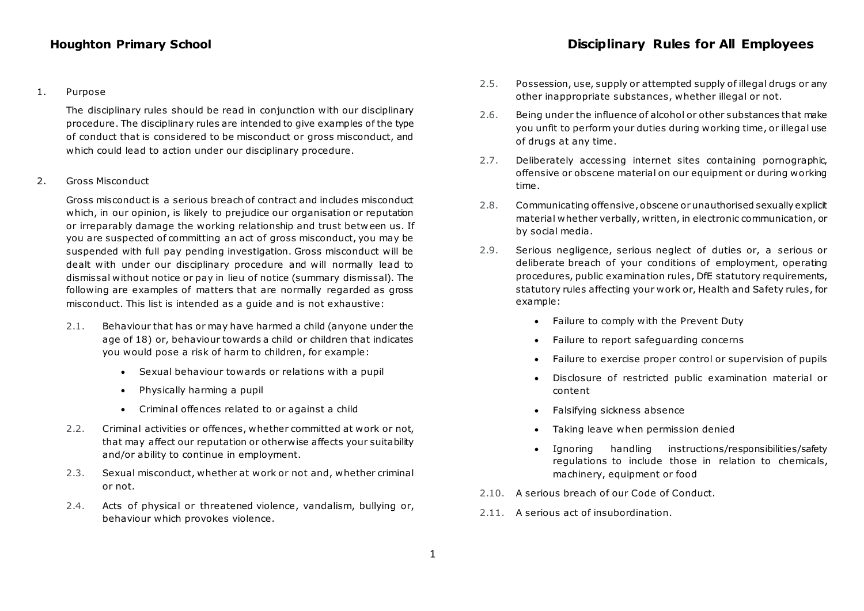## 1. Purpose

The disciplinary rules should be read in conjunction with our disciplinary procedure. The disciplinary rules are intended to give examples of the type of conduct that is considered to be misconduct or gross misconduct, and which could lead to action under our disciplinary procedure.

## 2. Gross Misconduct

Gross misconduct is a serious breach of contract and includes misconduct which, in our opinion, is likely to prejudice our organisation or reputation or irreparably damage the working relationship and trust betw een us. If you are suspected of committing an act of gross misconduct, you may be suspended with full pay pending investigation. Gross misconduct will be dealt with under our disciplinary procedure and will normally lead to dismissal without notice or pay in lieu of notice (summary dismissal). The following are examples of matters that are normally regarded as gross misconduct. This list is intended as a guide and is not exhaustive:

- 2.1. Behaviour that has or may have harmed a child (anyone under the age of 18) or, behaviour towards a child or children that indicates you would pose a risk of harm to children, for example:
	- Sexual behaviour towards or relations with a pupil
	- Physically harming a pupil
	- Criminal offences related to or against a child
- 2.2. Criminal activities or offences, whether committed at work or not, that may affect our reputation or otherwise affects your suitability and/or ability to continue in employment.
- 2.3. Sexual misconduct, whether at work or not and, whether criminal or not.
- 2.4. Acts of physical or threatened violence, vandalism, bullying or, behaviour which provokes violence.
- 2.5. Possession, use, supply or attempted supply of illegal drugs or any other inappropriate substances, whether illegal or not.
- 2.6. Being under the influence of alcohol or other substances that make you unfit to perform your duties during working time, or illegal use of drugs at any time.
- 2.7. Deliberately accessing internet sites containing pornographic, offensive or obscene material on our equipment or during working time.
- 2.8. Communicating offensive, obscene or unauthorised sexually explicit material whether verbally, written, in electronic communication, or by social media.
- 2.9. Serious negligence, serious neglect of duties or, a serious or deliberate breach of your conditions of employment, operating procedures, public examination rules, DfE statutory requirements, statutory rules affecting your work or, Health and Safety rules, for example:
	- Failure to comply with the Prevent Duty
	- Failure to report safeguarding concerns
	- Failure to exercise proper control or supervision of pupils
	- Disclosure of restricted public examination material or content
	- Falsifying sickness absence
	- Taking leave when permission denied
	- Ignoring handling instructions/responsibilities/safety regulations to include those in relation to chemicals, machinery, equipment or food
- 2.10. A serious breach of our Code of Conduct.
- 2.11. A serious act of insubordination.

## **Houghton Primary School Disciplinary Rules for All Employees**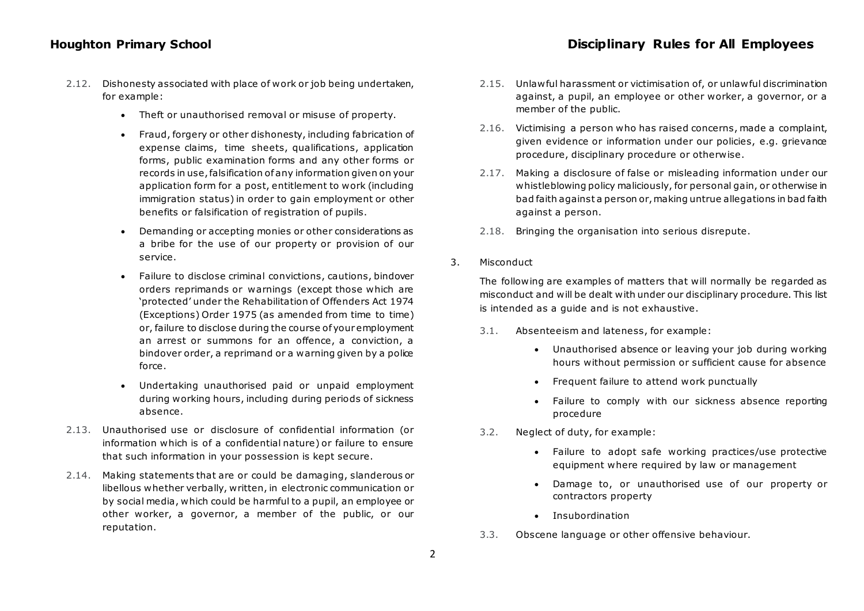- 2.12. Dishonesty associated with place of work or job being undertaken, for example:
	- Theft or unauthorised removal or misuse of property.
	- Fraud, forgery or other dishonesty, including fabrication of expense claims, time sheets, qualifications, application forms, public examination forms and any other forms or records in use, falsification of any information given on your application form for a post, entitlement to work (including immigration status) in order to gain employment or other benefits or falsification of registration of pupils.
	- Demanding or accepting monies or other considerations as a bribe for the use of our property or provision of our service.
	- Failure to disclose criminal convictions, cautions, bindover orders reprimands or warnings (except those which are 'protected' under the Rehabilitation of Offenders Act 1974 (Exceptions) Order 1975 (as amended from time to time) or, failure to disclose during the course of your employment an arrest or summons for an offence, a conviction, a bindover order, a reprimand or a warning given by a police force.
	- Undertaking unauthorised paid or unpaid employment during working hours, including during periods of sickness absence.
- 2.13. Unauthorised use or disclosure of confidential information (or information which is of a confidential nature) or failure to ensure that such information in your possession is kept secure.
- 2.14. Making statements that are or could be damaging, slanderous or libellous whether verbally, written, in electronic communication or by social media, which could be harmful to a pupil, an employee or other worker, a governor, a member of the public, or our reputation.
- 2.15. Unlaw ful harassment or victimisation of, or unlaw ful discrimination against, a pupil, an employee or other worker, a governor, or a member of the public.
- 2.16. Victimising a person who has raised concerns, made a complaint, given evidence or information under our policies, e.g. grievance procedure, disciplinary procedure or otherwise.
- 2.17. Making a disclosure of false or misleading information under our whistleblowing policy maliciously, for personal gain, or otherwise in bad faith against a person or, making untrue allegations in bad faith against a person.
- 2.18. Bringing the organisation into serious disrepute.
- 3. Misconduct

The following are examples of matters that will normally be regarded as misconduct and will be dealt with under our disciplinary procedure. This list is intended as a guide and is not exhaustive.

- 3.1. Absenteeism and lateness, for example:
	- Unauthorised absence or leaving your job during working hours without permission or sufficient cause for absence
	- Frequent failure to attend work punctually
	- Failure to comply with our sickness absence reporting procedure
- 3.2. Neglect of duty, for example:
	- Failure to adopt safe working practices/use protective equipment where required by law or management
	- Damage to, or unauthorised use of our property or contractors property
	- Insubordination
- 3.3. Obscene language or other offensive behaviour.

# **Houghton Primary School Disciplinary Rules for All Employees**